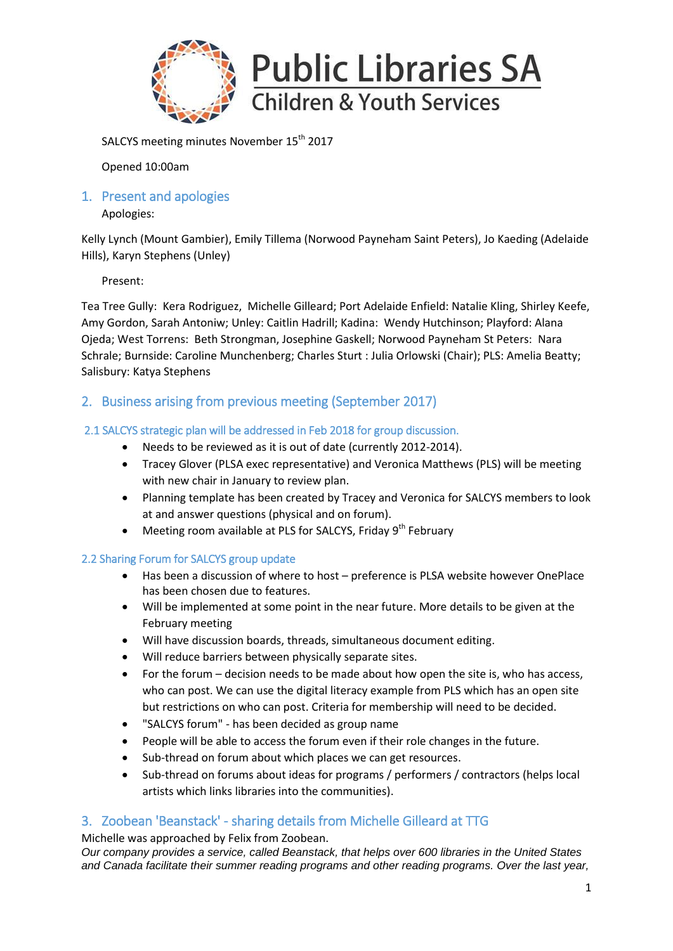

SALCYS meeting minutes November 15<sup>th</sup> 2017

Opened 10:00am

1. Present and apologies

Apologies:

Kelly Lynch (Mount Gambier), Emily Tillema (Norwood Payneham Saint Peters), Jo Kaeding (Adelaide Hills), Karyn Stephens (Unley)

Present:

Tea Tree Gully: Kera Rodriguez, Michelle Gilleard; Port Adelaide Enfield: Natalie Kling, Shirley Keefe, Amy Gordon, Sarah Antoniw; Unley: Caitlin Hadrill; Kadina: Wendy Hutchinson; Playford: Alana Ojeda; West Torrens: Beth Strongman, Josephine Gaskell; Norwood Payneham St Peters: Nara Schrale; Burnside: Caroline Munchenberg; Charles Sturt : Julia Orlowski (Chair); PLS: Amelia Beatty; Salisbury: Katya Stephens

# 2. Business arising from previous meeting (September 2017)

## 2.1 SALCYS strategic plan will be addressed in Feb 2018 for group discussion.

- Needs to be reviewed as it is out of date (currently 2012-2014).
- Tracey Glover (PLSA exec representative) and Veronica Matthews (PLS) will be meeting with new chair in January to review plan.
- Planning template has been created by Tracey and Veronica for SALCYS members to look at and answer questions (physical and on forum).
- Meeting room available at PLS for SALCYS, Friday 9<sup>th</sup> February

## 2.2 Sharing Forum for SALCYS group update

- Has been a discussion of where to host preference is PLSA website however OnePlace has been chosen due to features.
- Will be implemented at some point in the near future. More details to be given at the February meeting
- Will have discussion boards, threads, simultaneous document editing.
- Will reduce barriers between physically separate sites.
- For the forum decision needs to be made about how open the site is, who has access, who can post. We can use the digital literacy example from PLS which has an open site but restrictions on who can post. Criteria for membership will need to be decided.
- "SALCYS forum" has been decided as group name
- People will be able to access the forum even if their role changes in the future.
- Sub-thread on forum about which places we can get resources.
- Sub-thread on forums about ideas for programs / performers / contractors (helps local artists which links libraries into the communities).

# 3. Zoobean 'Beanstack' - sharing details from Michelle Gilleard at TTG

Michelle was approached by Felix from Zoobean.

*Our company provides a service, called Beanstack, that helps over 600 libraries in the United States and Canada facilitate their summer reading programs and other reading programs. Over the last year,*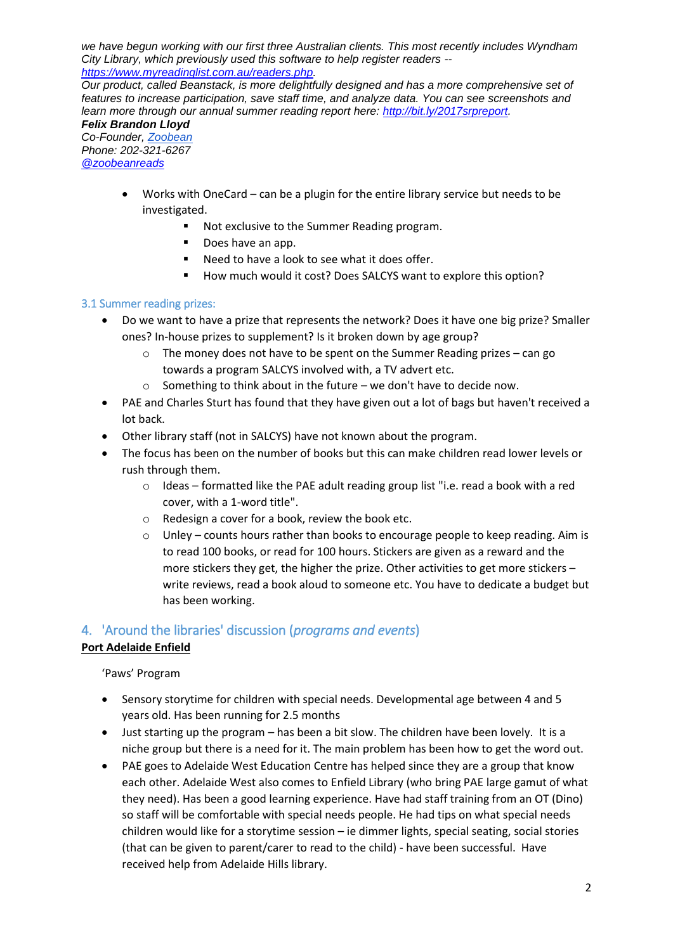*we have begun working with our first three Australian clients. This most recently includes Wyndham City Library, which previously used this software to help register readers - [https://www.myreadinglist.com.au/readers.php.](https://t.yesware.com/tt/372be6ded7757e3d26e6385e9914a4839c4e93ca/a39cf4bad81d359317015593eac38250/2ac1daa1fd2bdc3cb19b0b4fbd28deb5/www.myreadinglist.com.au/readers.php)* 

*Our product, called Beanstack, is more delightfully designed and has a more comprehensive set of features to increase participation, save staff time, and analyze data. You can see screenshots and learn more through our annual summer reading report here: [http://bit.ly/2017srpreport.](http://t.yesware.com/tt/372be6ded7757e3d26e6385e9914a4839c4e93ca/a39cf4bad81d359317015593eac38250/f5cd4fa167fe482d1c91d71d598085ef/bit.ly/2017srpreport)*

*Felix Brandon Lloyd Co-Founder, [Zoobean](https://t.yesware.com/tt/372be6ded7757e3d26e6385e9914a4839c4e93ca/a39cf4bad81d359317015593eac38250/80d3e26edbbb75462b804b12e6b3d786/beanstack.org/) Phone: 202-321-6267 [@zoobeanreads](https://t.yesware.com/tt/372be6ded7757e3d26e6385e9914a4839c4e93ca/a39cf4bad81d359317015593eac38250/fd2f8bff2683a3065a088ef628217c3e/twitter.com/zoobeanreads)*

- Works with OneCard can be a plugin for the entire library service but needs to be investigated.
	- Not exclusive to the Summer Reading program.
	- Does have an app.
	- Need to have a look to see what it does offer.
	- How much would it cost? Does SALCYS want to explore this option?

### 3.1 Summer reading prizes:

- Do we want to have a prize that represents the network? Does it have one big prize? Smaller ones? In-house prizes to supplement? Is it broken down by age group?
	- $\circ$  The money does not have to be spent on the Summer Reading prizes can go towards a program SALCYS involved with, a TV advert etc.
	- $\circ$  Something to think about in the future we don't have to decide now.
- PAE and Charles Sturt has found that they have given out a lot of bags but haven't received a lot back.
- Other library staff (not in SALCYS) have not known about the program.
- The focus has been on the number of books but this can make children read lower levels or rush through them.
	- o Ideas formatted like the PAE adult reading group list "i.e. read a book with a red cover, with a 1-word title".
	- o Redesign a cover for a book, review the book etc.
	- $\circ$  Unley counts hours rather than books to encourage people to keep reading. Aim is to read 100 books, or read for 100 hours. Stickers are given as a reward and the more stickers they get, the higher the prize. Other activities to get more stickers – write reviews, read a book aloud to someone etc. You have to dedicate a budget but has been working.

## 4. 'Around the libraries' discussion (*programs and events*)

## **Port Adelaide Enfield**

'Paws' Program

- Sensory storytime for children with special needs. Developmental age between 4 and 5 years old. Has been running for 2.5 months
- Just starting up the program has been a bit slow. The children have been lovely. It is a niche group but there is a need for it. The main problem has been how to get the word out.
- PAE goes to Adelaide West Education Centre has helped since they are a group that know each other. Adelaide West also comes to Enfield Library (who bring PAE large gamut of what they need). Has been a good learning experience. Have had staff training from an OT (Dino) so staff will be comfortable with special needs people. He had tips on what special needs children would like for a storytime session – ie dimmer lights, special seating, social stories (that can be given to parent/carer to read to the child) - have been successful. Have received help from Adelaide Hills library.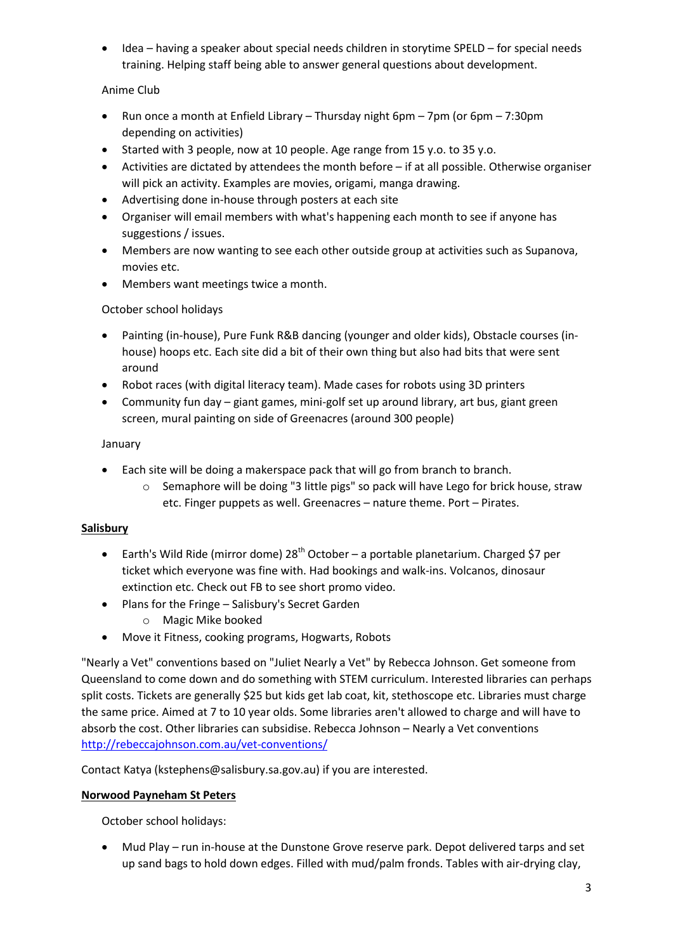Idea – having a speaker about special needs children in storytime SPELD – for special needs training. Helping staff being able to answer general questions about development.

# Anime Club

- Run once a month at Enfield Library Thursday night 6pm 7pm (or 6pm 7:30pm depending on activities)
- Started with 3 people, now at 10 people. Age range from 15 y.o. to 35 y.o.
- Activities are dictated by attendees the month before if at all possible. Otherwise organiser will pick an activity. Examples are movies, origami, manga drawing.
- Advertising done in-house through posters at each site
- Organiser will email members with what's happening each month to see if anyone has suggestions / issues.
- Members are now wanting to see each other outside group at activities such as Supanova, movies etc.
- Members want meetings twice a month.

## October school holidays

- Painting (in-house), Pure Funk R&B dancing (younger and older kids), Obstacle courses (inhouse) hoops etc. Each site did a bit of their own thing but also had bits that were sent around
- Robot races (with digital literacy team). Made cases for robots using 3D printers
- Community fun day giant games, mini-golf set up around library, art bus, giant green screen, mural painting on side of Greenacres (around 300 people)

## January

- Each site will be doing a makerspace pack that will go from branch to branch.
	- o Semaphore will be doing "3 little pigs" so pack will have Lego for brick house, straw etc. Finger puppets as well. Greenacres – nature theme. Port – Pirates.

# **Salisbury**

- **Earth's Wild Ride (mirror dome) 28<sup>th</sup> October a portable planetarium. Charged \$7 per** ticket which everyone was fine with. Had bookings and walk-ins. Volcanos, dinosaur extinction etc. Check out FB to see short promo video.
- Plans for the Fringe Salisbury's Secret Garden
	- o Magic Mike booked
- Move it Fitness, cooking programs, Hogwarts, Robots

"Nearly a Vet" conventions based on "Juliet Nearly a Vet" by Rebecca Johnson. Get someone from Queensland to come down and do something with STEM curriculum. Interested libraries can perhaps split costs. Tickets are generally \$25 but kids get lab coat, kit, stethoscope etc. Libraries must charge the same price. Aimed at 7 to 10 year olds. Some libraries aren't allowed to charge and will have to absorb the cost. Other libraries can subsidise. Rebecca Johnson – Nearly a Vet conventions [http://rebeccajohnson.com.au/vet-conventions/](http://scanmail.trustwave.com/?c=10585&d=i8OJ2hlt1ViEMWksQS0l5Ri9mMuhnkZJ5U3PJpWP2Q&u=http%3a%2f%2frebeccajohnson%2ecom%2eau%2fvet-conventions%2f)

Contact Katya (kstephens@salisbury.sa.gov.au) if you are interested.

## **Norwood Payneham St Peters**

October school holidays:

 Mud Play – run in-house at the Dunstone Grove reserve park. Depot delivered tarps and set up sand bags to hold down edges. Filled with mud/palm fronds. Tables with air-drying clay,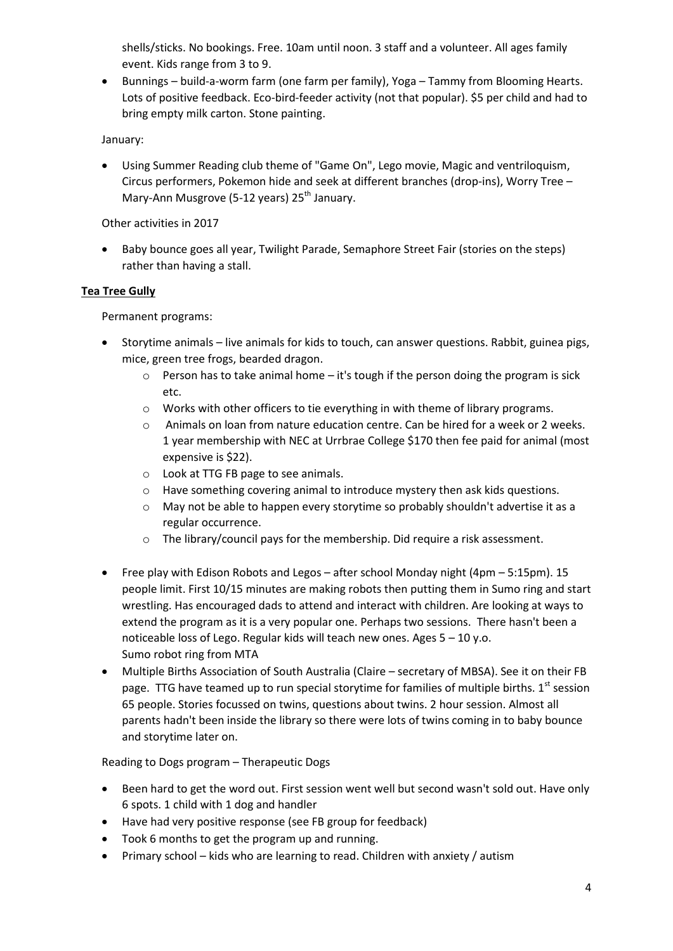shells/sticks. No bookings. Free. 10am until noon. 3 staff and a volunteer. All ages family event. Kids range from 3 to 9.

 Bunnings – build-a-worm farm (one farm per family), Yoga – Tammy from Blooming Hearts. Lots of positive feedback. Eco-bird-feeder activity (not that popular). \$5 per child and had to bring empty milk carton. Stone painting.

January:

 Using Summer Reading club theme of "Game On", Lego movie, Magic and ventriloquism, Circus performers, Pokemon hide and seek at different branches (drop-ins), Worry Tree – Mary-Ann Musgrove (5-12 years) 25<sup>th</sup> January.

Other activities in 2017

• Baby bounce goes all year, Twilight Parade, Semaphore Street Fair (stories on the steps) rather than having a stall.

### **Tea Tree Gully**

Permanent programs:

- Storytime animals live animals for kids to touch, can answer questions. Rabbit, guinea pigs, mice, green tree frogs, bearded dragon.
	- o Person has to take animal home it's tough if the person doing the program is sick etc.
	- o Works with other officers to tie everything in with theme of library programs.
	- $\circ$  Animals on loan from nature education centre. Can be hired for a week or 2 weeks. 1 year membership with NEC at Urrbrae College \$170 then fee paid for animal (most expensive is \$22).
	- o Look at TTG FB page to see animals.
	- o Have something covering animal to introduce mystery then ask kids questions.
	- o May not be able to happen every storytime so probably shouldn't advertise it as a regular occurrence.
	- o The library/council pays for the membership. Did require a risk assessment.
- Free play with Edison Robots and Legos after school Monday night (4pm 5:15pm). 15 people limit. First 10/15 minutes are making robots then putting them in Sumo ring and start wrestling. Has encouraged dads to attend and interact with children. Are looking at ways to extend the program as it is a very popular one. Perhaps two sessions. There hasn't been a noticeable loss of Lego. Regular kids will teach new ones. Ages 5 – 10 y.o. Sumo robot ring from MTA
- Multiple Births Association of South Australia (Claire secretary of MBSA). See it on their FB page. TTG have teamed up to run special storytime for families of multiple births. 1<sup>st</sup> session 65 people. Stories focussed on twins, questions about twins. 2 hour session. Almost all parents hadn't been inside the library so there were lots of twins coming in to baby bounce and storytime later on.

Reading to Dogs program – Therapeutic Dogs

- Been hard to get the word out. First session went well but second wasn't sold out. Have only 6 spots. 1 child with 1 dog and handler
- Have had very positive response (see FB group for feedback)
- Took 6 months to get the program up and running.
- Primary school kids who are learning to read. Children with anxiety / autism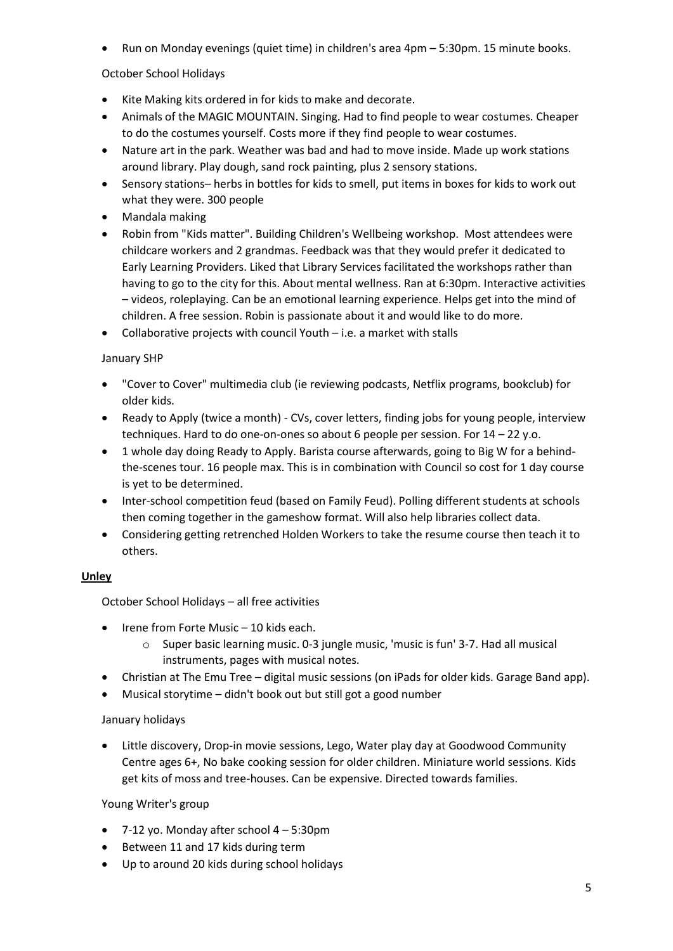Run on Monday evenings (quiet time) in children's area 4pm – 5:30pm. 15 minute books.

October School Holidays

- Kite Making kits ordered in for kids to make and decorate.
- Animals of the MAGIC MOUNTAIN. Singing. Had to find people to wear costumes. Cheaper to do the costumes yourself. Costs more if they find people to wear costumes.
- Nature art in the park. Weather was bad and had to move inside. Made up work stations around library. Play dough, sand rock painting, plus 2 sensory stations.
- Sensory stations– herbs in bottles for kids to smell, put items in boxes for kids to work out what they were. 300 people
- Mandala making
- Robin from "Kids matter". Building Children's Wellbeing workshop. Most attendees were childcare workers and 2 grandmas. Feedback was that they would prefer it dedicated to Early Learning Providers. Liked that Library Services facilitated the workshops rather than having to go to the city for this. About mental wellness. Ran at 6:30pm. Interactive activities – videos, roleplaying. Can be an emotional learning experience. Helps get into the mind of children. A free session. Robin is passionate about it and would like to do more.
- Collaborative projects with council Youth i.e. a market with stalls

#### January SHP

- "Cover to Cover" multimedia club (ie reviewing podcasts, Netflix programs, bookclub) for older kids.
- Ready to Apply (twice a month) CVs, cover letters, finding jobs for young people, interview techniques. Hard to do one-on-ones so about 6 people per session. For 14 – 22 y.o.
- 1 whole day doing Ready to Apply. Barista course afterwards, going to Big W for a behindthe-scenes tour. 16 people max. This is in combination with Council so cost for 1 day course is yet to be determined.
- Inter-school competition feud (based on Family Feud). Polling different students at schools then coming together in the gameshow format. Will also help libraries collect data.
- Considering getting retrenched Holden Workers to take the resume course then teach it to others.

### **Unley**

October School Holidays – all free activities

- $\bullet$  Irene from Forte Music 10 kids each.
	- o Super basic learning music. 0-3 jungle music, 'music is fun' 3-7. Had all musical instruments, pages with musical notes.
- Christian at The Emu Tree digital music sessions (on iPads for older kids. Garage Band app).
- Musical storytime didn't book out but still got a good number

### January holidays

 Little discovery, Drop-in movie sessions, Lego, Water play day at Goodwood Community Centre ages 6+, No bake cooking session for older children. Miniature world sessions. Kids get kits of moss and tree-houses. Can be expensive. Directed towards families.

### Young Writer's group

- $\bullet$  7-12 yo. Monday after school 4 5:30pm
- Between 11 and 17 kids during term
- Up to around 20 kids during school holidays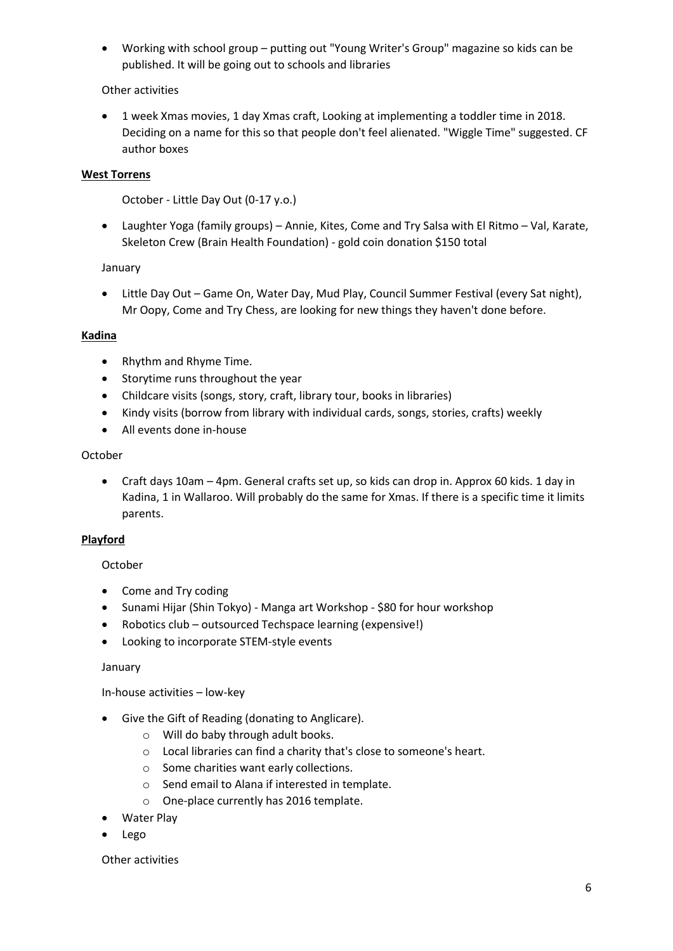Working with school group – putting out "Young Writer's Group" magazine so kids can be published. It will be going out to schools and libraries

### Other activities

 1 week Xmas movies, 1 day Xmas craft, Looking at implementing a toddler time in 2018. Deciding on a name for this so that people don't feel alienated. "Wiggle Time" suggested. CF author boxes

### **West Torrens**

October - Little Day Out (0-17 y.o.)

 Laughter Yoga (family groups) – Annie, Kites, Come and Try Salsa with El Ritmo – Val, Karate, Skeleton Crew (Brain Health Foundation) - gold coin donation \$150 total

#### January

 Little Day Out – Game On, Water Day, Mud Play, Council Summer Festival (every Sat night), Mr Oopy, Come and Try Chess, are looking for new things they haven't done before.

#### **Kadina**

- Rhythm and Rhyme Time.
- Storytime runs throughout the year
- Childcare visits (songs, story, craft, library tour, books in libraries)
- Kindy visits (borrow from library with individual cards, songs, stories, crafts) weekly
- All events done in-house

#### October

 Craft days 10am – 4pm. General crafts set up, so kids can drop in. Approx 60 kids. 1 day in Kadina, 1 in Wallaroo. Will probably do the same for Xmas. If there is a specific time it limits parents.

### **Playford**

### October

- Come and Try coding
- Sunami Hijar (Shin Tokyo) Manga art Workshop \$80 for hour workshop
- Robotics club outsourced Techspace learning (expensive!)
- Looking to incorporate STEM-style events

### January

### In-house activities – low-key

- Give the Gift of Reading (donating to Anglicare).
	- o Will do baby through adult books.
	- o Local libraries can find a charity that's close to someone's heart.
	- o Some charities want early collections.
	- o Send email to Alana if interested in template.
	- o One-place currently has 2016 template.
- Water Play
- Lego

#### Other activities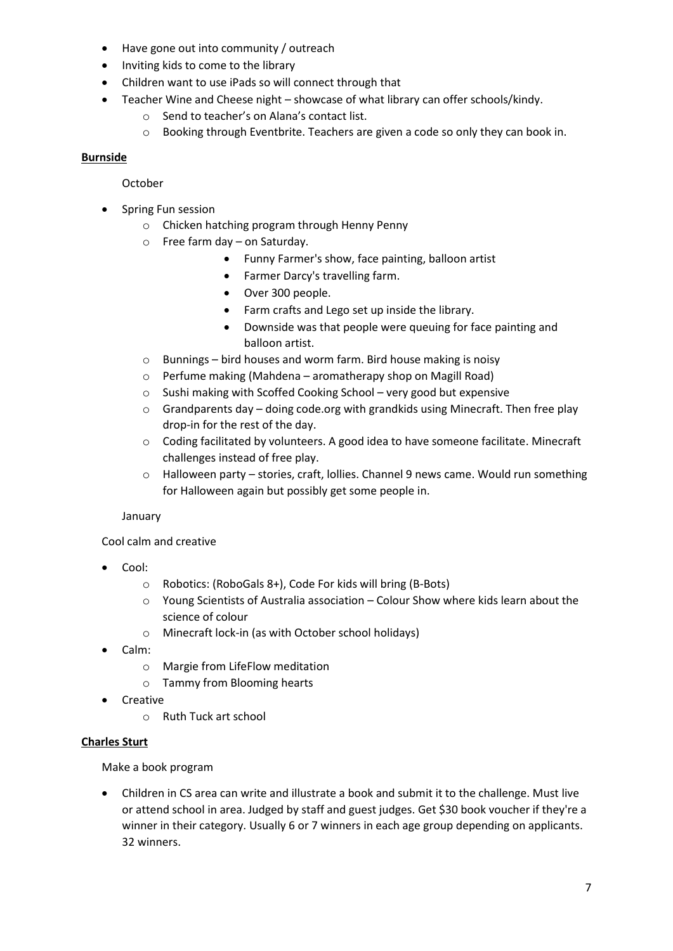- Have gone out into community / outreach
- Inviting kids to come to the library
- Children want to use iPads so will connect through that
- Teacher Wine and Cheese night showcase of what library can offer schools/kindy.
	- o Send to teacher's on Alana's contact list.
	- o Booking through Eventbrite. Teachers are given a code so only they can book in.

### **Burnside**

### October

- Spring Fun session
	- o Chicken hatching program through Henny Penny
	- o Free farm day on Saturday.
		- Funny Farmer's show, face painting, balloon artist
		- Farmer Darcy's travelling farm.
		- Over 300 people.
		- Farm crafts and Lego set up inside the library.
		- Downside was that people were queuing for face painting and balloon artist.
	- o Bunnings bird houses and worm farm. Bird house making is noisy
	- o Perfume making (Mahdena aromatherapy shop on Magill Road)
	- o Sushi making with Scoffed Cooking School very good but expensive
	- $\circ$  Grandparents day doing code.org with grandkids using Minecraft. Then free play drop-in for the rest of the day.
	- o Coding facilitated by volunteers. A good idea to have someone facilitate. Minecraft challenges instead of free play.
	- o Halloween party stories, craft, lollies. Channel 9 news came. Would run something for Halloween again but possibly get some people in.

### January

Cool calm and creative

- Cool:
	- o Robotics: (RoboGals 8+), Code For kids will bring (B-Bots)
	- o Young Scientists of Australia association Colour Show where kids learn about the science of colour
	- o Minecraft lock-in (as with October school holidays)
- Calm:
	- o Margie from LifeFlow meditation
	- o Tammy from Blooming hearts
- Creative
	- o Ruth Tuck art school

### **Charles Sturt**

Make a book program

 Children in CS area can write and illustrate a book and submit it to the challenge. Must live or attend school in area. Judged by staff and guest judges. Get \$30 book voucher if they're a winner in their category. Usually 6 or 7 winners in each age group depending on applicants. 32 winners.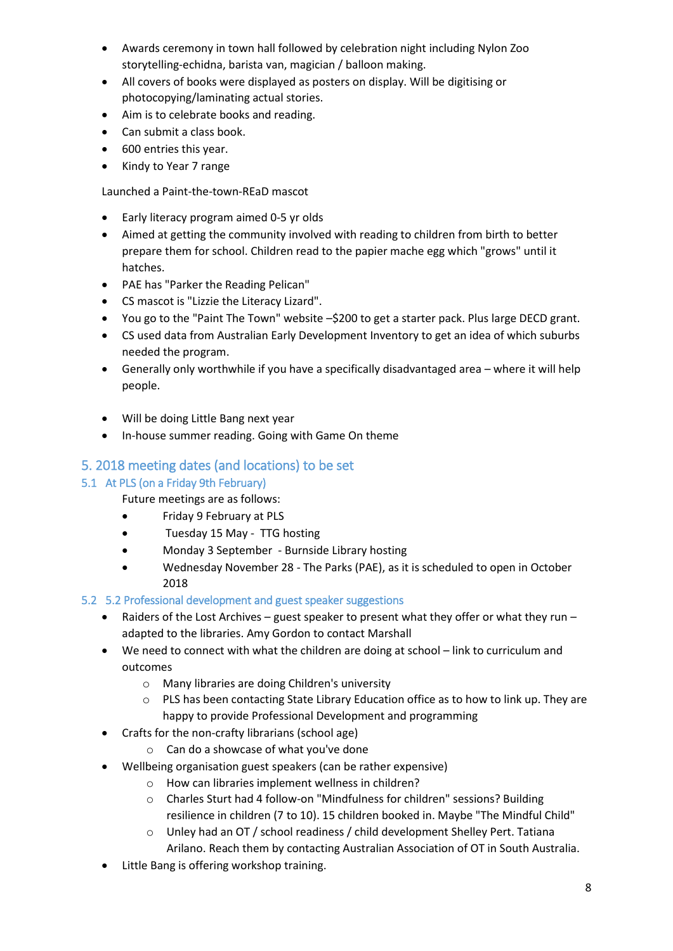- Awards ceremony in town hall followed by celebration night including Nylon Zoo storytelling-echidna, barista van, magician / balloon making.
- All covers of books were displayed as posters on display. Will be digitising or photocopying/laminating actual stories.
- Aim is to celebrate books and reading.
- Can submit a class book.
- 600 entries this year.
- Kindy to Year 7 range

Launched a Paint-the-town-REaD mascot

- Early literacy program aimed 0-5 yr olds
- Aimed at getting the community involved with reading to children from birth to better prepare them for school. Children read to the papier mache egg which "grows" until it hatches.
- PAE has "Parker the Reading Pelican"
- CS mascot is "Lizzie the Literacy Lizard".
- You go to the "Paint The Town" website –\$200 to get a starter pack. Plus large DECD grant.
- CS used data from Australian Early Development Inventory to get an idea of which suburbs needed the program.
- Generally only worthwhile if you have a specifically disadvantaged area where it will help people.
- Will be doing Little Bang next year
- In-house summer reading. Going with Game On theme

# 5. 2018 meeting dates (and locations) to be set

## 5.1 At PLS (on a Friday 9th February)

Future meetings are as follows:

- Friday 9 February at PLS
- Tuesday 15 May TTG hosting
- Monday 3 September Burnside Library hosting
- Wednesday November 28 The Parks (PAE), as it is scheduled to open in October 2018

### 5.2 5.2 Professional development and guest speaker suggestions

- Raiders of the Lost Archives guest speaker to present what they offer or what they run adapted to the libraries. Amy Gordon to contact Marshall
- We need to connect with what the children are doing at school link to curriculum and outcomes
	- o Many libraries are doing Children's university
	- $\circ$  PLS has been contacting State Library Education office as to how to link up. They are happy to provide Professional Development and programming
- Crafts for the non-crafty librarians (school age)
	- o Can do a showcase of what you've done
- Wellbeing organisation guest speakers (can be rather expensive)
	- o How can libraries implement wellness in children?
	- o Charles Sturt had 4 follow-on "Mindfulness for children" sessions? Building resilience in children (7 to 10). 15 children booked in. Maybe "The Mindful Child"
	- o Unley had an OT / school readiness / child development Shelley Pert. Tatiana Arilano. Reach them by contacting Australian Association of OT in South Australia.
- Little Bang is offering workshop training.